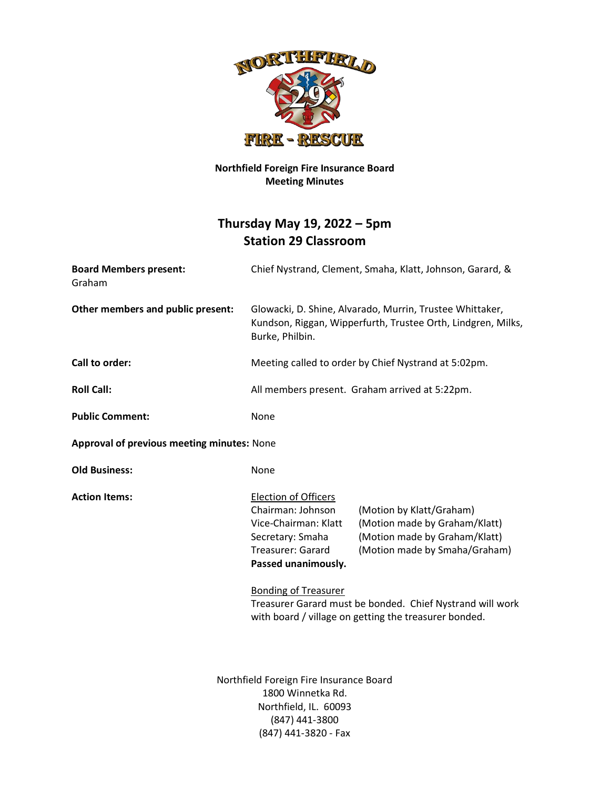

## **Northfield Foreign Fire Insurance Board Meeting Minutes**

## **Thursday May 19, 2022 – 5pm Station 29 Classroom**

| <b>Board Members present:</b><br>Graham    | Chief Nystrand, Clement, Smaha, Klatt, Johnson, Garard, &                                                                                       |                                                                                                                             |
|--------------------------------------------|-------------------------------------------------------------------------------------------------------------------------------------------------|-----------------------------------------------------------------------------------------------------------------------------|
| Other members and public present:          | Glowacki, D. Shine, Alvarado, Murrin, Trustee Whittaker,<br>Kundson, Riggan, Wipperfurth, Trustee Orth, Lindgren, Milks,<br>Burke, Philbin.     |                                                                                                                             |
| Call to order:                             | Meeting called to order by Chief Nystrand at 5:02pm.                                                                                            |                                                                                                                             |
| <b>Roll Call:</b>                          | All members present. Graham arrived at 5:22pm.                                                                                                  |                                                                                                                             |
| <b>Public Comment:</b>                     | None                                                                                                                                            |                                                                                                                             |
| Approval of previous meeting minutes: None |                                                                                                                                                 |                                                                                                                             |
| <b>Old Business:</b>                       | None                                                                                                                                            |                                                                                                                             |
| <b>Action Items:</b>                       | <b>Election of Officers</b><br>Chairman: Johnson<br>Vice-Chairman: Klatt<br>Secretary: Smaha<br><b>Treasurer: Garard</b><br>Passed unanimously. | (Motion by Klatt/Graham)<br>(Motion made by Graham/Klatt)<br>(Motion made by Graham/Klatt)<br>(Motion made by Smaha/Graham) |
|                                            | <b>Bonding of Treasurer</b>                                                                                                                     | Treasurer Garard must be bonded. Chief Nystrand will work<br>with board / village on getting the treasurer bonded.          |
|                                            | Northfield Foreign Fire Insurance Board<br>1800 Winnetka Rd.<br>Northfield, IL. 60093<br>(847) 441-3800<br>(847) 441-3820 - Fax                 |                                                                                                                             |